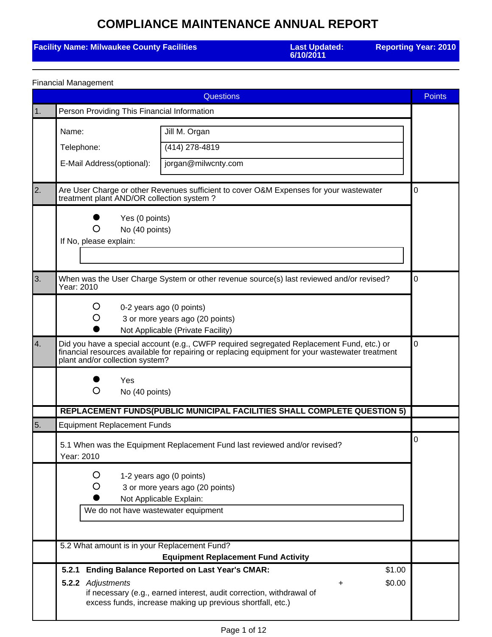### **Facility Name: Milwaukee County Facilities**

**6/10/2011**

**Reporting Year: 2010**

|  | <b>Financial Management</b> |
|--|-----------------------------|
|--|-----------------------------|

|            |                                                                 | <b>Questions</b>                                                                                                                                                                                                   | <b>Points</b> |
|------------|-----------------------------------------------------------------|--------------------------------------------------------------------------------------------------------------------------------------------------------------------------------------------------------------------|---------------|
| $\vert$ 1. | Person Providing This Financial Information                     |                                                                                                                                                                                                                    |               |
|            | Name:                                                           | Jill M. Organ                                                                                                                                                                                                      |               |
|            | Telephone:                                                      | (414) 278-4819                                                                                                                                                                                                     |               |
|            | E-Mail Address(optional):                                       | jorgan@milwcnty.com                                                                                                                                                                                                |               |
| 2.         | treatment plant AND/OR collection system?                       | Are User Charge or other Revenues sufficient to cover O&M Expenses for your wastewater                                                                                                                             | 0             |
|            | Yes (0 points)<br>No (40 points)<br>O<br>If No, please explain: |                                                                                                                                                                                                                    |               |
| 3.         | Year: 2010                                                      | When was the User Charge System or other revenue source(s) last reviewed and/or revised?                                                                                                                           | 0             |
|            | Ő                                                               | 0-2 years ago (0 points)<br>3 or more years ago (20 points)<br>Not Applicable (Private Facility)                                                                                                                   |               |
| 4.         | plant and/or collection system?                                 | Did you have a special account (e.g., CWFP required segregated Replacement Fund, etc.) or<br>financial resources available for repairing or replacing equipment for your wastewater treatment                      | 0             |
|            | Yes<br>O<br>No (40 points)                                      |                                                                                                                                                                                                                    |               |
|            |                                                                 | REPLACEMENT FUNDS(PUBLIC MUNICIPAL FACILITIES SHALL COMPLETE QUESTION 5)                                                                                                                                           |               |
| 5.         | <b>Equipment Replacement Funds</b>                              |                                                                                                                                                                                                                    |               |
|            | Year: 2010                                                      | 5.1 When was the Equipment Replacement Fund last reviewed and/or revised?                                                                                                                                          | 0             |
|            | Ő<br>We do not have wastewater equipment                        | 1-2 years ago (0 points)<br>3 or more years ago (20 points)<br>Not Applicable Explain:                                                                                                                             |               |
|            | 5.2 What amount is in your Replacement Fund?                    | <b>Equipment Replacement Fund Activity</b>                                                                                                                                                                         |               |
|            | 5.2.1<br>5.2.2 Adjustments                                      | <b>Ending Balance Reported on Last Year's CMAR:</b><br>\$1.00<br>\$0.00<br>+<br>if necessary (e.g., earned interest, audit correction, withdrawal of<br>excess funds, increase making up previous shortfall, etc.) |               |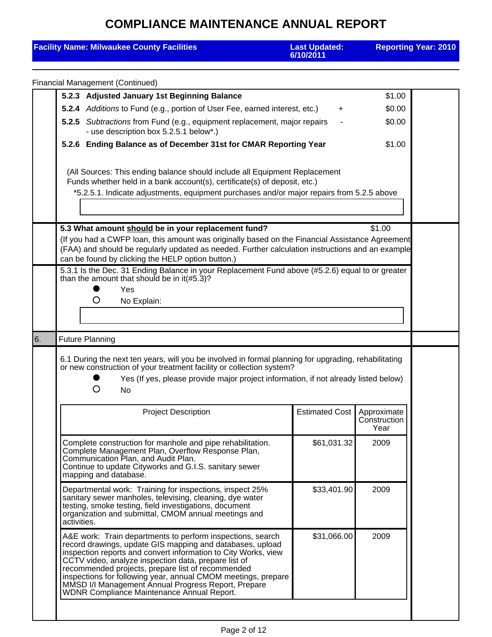| <b>Facility Name: Milwaukee County Facilities</b>                                                                                                                                                                                                                                                                                                                                                                                                                            | <b>Last Updated:</b><br>6/10/2011                                                                                                                                                                                                                                                                                |                                     | <b>Reporting Year: 2010</b> |  |  |  |  |
|------------------------------------------------------------------------------------------------------------------------------------------------------------------------------------------------------------------------------------------------------------------------------------------------------------------------------------------------------------------------------------------------------------------------------------------------------------------------------|------------------------------------------------------------------------------------------------------------------------------------------------------------------------------------------------------------------------------------------------------------------------------------------------------------------|-------------------------------------|-----------------------------|--|--|--|--|
| <b>Financial Management (Continued)</b>                                                                                                                                                                                                                                                                                                                                                                                                                                      |                                                                                                                                                                                                                                                                                                                  |                                     |                             |  |  |  |  |
| 5.2.3 Adjusted January 1st Beginning Balance                                                                                                                                                                                                                                                                                                                                                                                                                                 |                                                                                                                                                                                                                                                                                                                  | \$1.00                              |                             |  |  |  |  |
|                                                                                                                                                                                                                                                                                                                                                                                                                                                                              | 5.2.4 Additions to Fund (e.g., portion of User Fee, earned interest, etc.)<br>\$0.00<br>$\ddot{}$                                                                                                                                                                                                                |                                     |                             |  |  |  |  |
| - use description box 5.2.5.1 below*.)                                                                                                                                                                                                                                                                                                                                                                                                                                       | 5.2.5 Subtractions from Fund (e.g., equipment replacement, major repairs<br>\$0.00                                                                                                                                                                                                                               |                                     |                             |  |  |  |  |
|                                                                                                                                                                                                                                                                                                                                                                                                                                                                              | 5.2.6 Ending Balance as of December 31st for CMAR Reporting Year<br>\$1.00                                                                                                                                                                                                                                       |                                     |                             |  |  |  |  |
| (All Sources: This ending balance should include all Equipment Replacement<br>Funds whether held in a bank account(s), certificate(s) of deposit, etc.)                                                                                                                                                                                                                                                                                                                      |                                                                                                                                                                                                                                                                                                                  |                                     |                             |  |  |  |  |
| *5.2.5.1. Indicate adjustments, equipment purchases and/or major repairs from 5.2.5 above                                                                                                                                                                                                                                                                                                                                                                                    |                                                                                                                                                                                                                                                                                                                  |                                     |                             |  |  |  |  |
| 5.3 What amount should be in your replacement fund?<br>can be found by clicking the HELP option button.)<br>than the amount that should be in it(#5.3)?<br>Yes<br>O<br>No Explain:                                                                                                                                                                                                                                                                                           | \$1.00<br>(If you had a CWFP loan, this amount was originally based on the Financial Assistance Agreement<br>(FAA) and should be regularly updated as needed. Further calculation instructions and an example<br>5.3.1 Is the Dec. 31 Ending Balance in your Replacement Fund above (#5.2.6) equal to or greater |                                     |                             |  |  |  |  |
| <b>Future Planning</b><br>6.                                                                                                                                                                                                                                                                                                                                                                                                                                                 |                                                                                                                                                                                                                                                                                                                  |                                     |                             |  |  |  |  |
| 6.1 During the next ten years, will you be involved in formal planning for upgrading, rehabilitating<br>or new construction of your treatment facility or collection system?<br>Yes (If yes, please provide major project information, if not already listed below)<br>O<br>No                                                                                                                                                                                               |                                                                                                                                                                                                                                                                                                                  |                                     |                             |  |  |  |  |
| <b>Project Description</b>                                                                                                                                                                                                                                                                                                                                                                                                                                                   | <b>Estimated Cost</b>                                                                                                                                                                                                                                                                                            | Approximate<br>Construction<br>Year |                             |  |  |  |  |
| Complete construction for manhole and pipe rehabilitation.<br>Complete Management Plan, Overflow Response Plan,<br>Communication Plan, and Audit Plan.<br>Continue to update Cityworks and G.I.S. sanitary sewer<br>mapping and database.                                                                                                                                                                                                                                    | \$61,031.32                                                                                                                                                                                                                                                                                                      | 2009                                |                             |  |  |  |  |
| Departmental work: Training for inspections, inspect 25%<br>sanitary sewer manholes, televising, cleaning, dye water<br>testing, smoke testing, field investigations, document<br>organization and submittal, CMOM annual meetings and<br>activities.                                                                                                                                                                                                                        | \$33,401.90                                                                                                                                                                                                                                                                                                      | 2009                                |                             |  |  |  |  |
| A&E work: Train departments to perform inspections, search<br>record drawings, update GIS mapping and databases, upload<br>inspection reports and convert information to City Works, view<br>CCTV video, analyze inspection data, prepare list of<br>recommended projects, prepare list of recommended<br>inspections for following year, annual CMOM meetings, prepare<br>MMSD I/I Management Annual Progress Report, Prepare<br>WDNR Compliance Maintenance Annual Report. | \$31,066.00                                                                                                                                                                                                                                                                                                      | 2009                                |                             |  |  |  |  |
|                                                                                                                                                                                                                                                                                                                                                                                                                                                                              |                                                                                                                                                                                                                                                                                                                  |                                     |                             |  |  |  |  |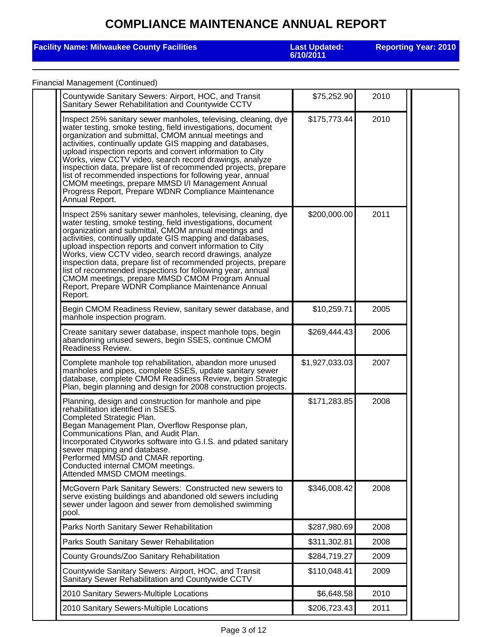#### **Facility Name: Milwaukee County Facilities**

**6/10/2011**

**Reporting Year: 2010**

#### Financial Management (Continued)

| Countywide Sanitary Sewers: Airport, HOC, and Transit<br>Sanitary Sewer Rehabilitation and Countywide CCTV                                                                                                                                                                                                                                                                                                                                                                                                                                                                                                                                 | \$75,252.90    | 2010 |  |
|--------------------------------------------------------------------------------------------------------------------------------------------------------------------------------------------------------------------------------------------------------------------------------------------------------------------------------------------------------------------------------------------------------------------------------------------------------------------------------------------------------------------------------------------------------------------------------------------------------------------------------------------|----------------|------|--|
| Inspect 25% sanitary sewer manholes, televising, cleaning, dye<br>water testing, smoke testing, field investigations, document<br>organization and submittal, CMOM annual meetings and<br>activities, continually update GIS mapping and databases,<br>upload inspection reports and convert information to City<br>Works, view CCTV video, search record drawings, analyze<br>inspection data, prepare list of recommended projects, prepare<br>list of recommended inspections for following year, annual<br>CMOM meetings, prepare MMSD I/I Management Annual<br>Progress Report, Prepare WDNR Compliance Maintenance<br>Annual Report. | \$175,773.44   | 2010 |  |
| Inspect 25% sanitary sewer manholes, televising, cleaning, dye<br>water testing, smoke testing, field investigations, document<br>organization and submittal, CMOM annual meetings and<br>activities, continually update GIS mapping and databases,<br>upload inspection reports and convert information to City<br>Works, view CCTV video, search record drawings, analyze<br>inspection data, prepare list of recommended projects, prepare<br>list of recommended inspections for following year, annual<br>CMOM meetings, prepare MMSD CMOM Program Annual<br>Report, Prepare WDNR Compliance Maintenance Annual<br>Report.            | \$200,000.00   | 2011 |  |
| Begin CMOM Readiness Review, sanitary sewer database, and<br>manhole inspection program.                                                                                                                                                                                                                                                                                                                                                                                                                                                                                                                                                   | \$10,259.71    | 2005 |  |
| Create sanitary sewer database, inspect manhole tops, begin<br>abandoning unused sewers, begin SSES, continue CMOM<br>Readiness Review.                                                                                                                                                                                                                                                                                                                                                                                                                                                                                                    | \$269,444.43   | 2006 |  |
| Complete manhole top rehabilitation, abandon more unused<br>manholes and pipes, complete SSES, update sanitary sewer<br>database, complete CMOM Readiness Review, begin Strategic<br>Plan, begin planning and design for 2008 construction projects.                                                                                                                                                                                                                                                                                                                                                                                       | \$1,927,033.03 | 2007 |  |
| Planning, design and construction for manhole and pipe<br>rehabilitation identified in SSES.<br>Completed Strategic Plan.                                                                                                                                                                                                                                                                                                                                                                                                                                                                                                                  | \$171,283.85   | 2008 |  |
| Began Management Plan, Overflow Response plan,<br>Communications Plan, and Audit Plan.<br>Incorporated Cityworks software into G.I.S. and pdated sanitary<br>sewer mapping and database.<br>Performed MMSD and CMAR reporting.<br>Conducted internal CMOM meetings.<br>Attended MMSD CMOM meetings.                                                                                                                                                                                                                                                                                                                                        |                |      |  |
| McGovern Park Sanitary Sewers: Constructed new sewers to<br>serve existing buildings and abandoned old sewers including<br>sewer under lagoon and sewer from demolished swimming<br>pool.                                                                                                                                                                                                                                                                                                                                                                                                                                                  | \$346,008.42   | 2008 |  |
| Parks North Sanitary Sewer Rehabilitation                                                                                                                                                                                                                                                                                                                                                                                                                                                                                                                                                                                                  | \$287,980.69   | 2008 |  |
| Parks South Sanitary Sewer Rehabilitation                                                                                                                                                                                                                                                                                                                                                                                                                                                                                                                                                                                                  | \$311,302.81   | 2008 |  |
| County Grounds/Zoo Sanitary Rehabilitation                                                                                                                                                                                                                                                                                                                                                                                                                                                                                                                                                                                                 | \$284,719.27   | 2009 |  |
| Countywide Sanitary Sewers: Airport, HOC, and Transit<br>Sanitary Sewer Rehabilitation and Countywide CCTV                                                                                                                                                                                                                                                                                                                                                                                                                                                                                                                                 | \$110,048.41   | 2009 |  |
| 2010 Sanitary Sewers-Multiple Locations                                                                                                                                                                                                                                                                                                                                                                                                                                                                                                                                                                                                    | \$6,648.58     | 2010 |  |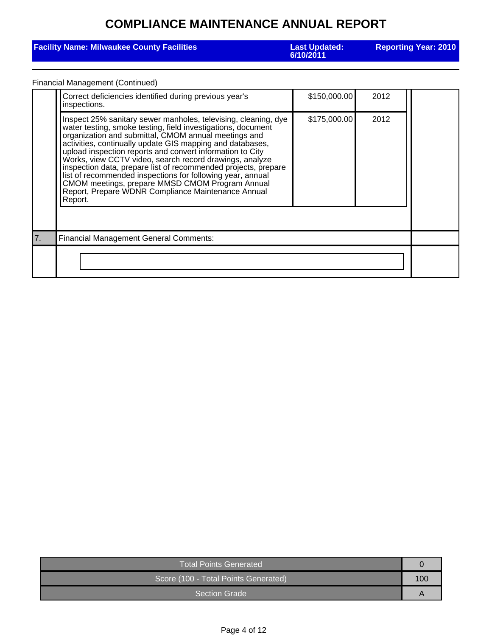| <b>Facility Name: Milwaukee County Facilities</b> | <b>Last Updated:</b><br>6/10/2011 | <b>Reporting Year: 2010</b> |
|---------------------------------------------------|-----------------------------------|-----------------------------|
|                                                   |                                   |                             |

#### Financial Management (Continued)

| Correct deficiencies identified during previous year's<br>inspections.                                                                                                                                                                                                                                                                                                                                                                                                                                                                                                                                                          | \$150,000.00 | 2012 |  |
|---------------------------------------------------------------------------------------------------------------------------------------------------------------------------------------------------------------------------------------------------------------------------------------------------------------------------------------------------------------------------------------------------------------------------------------------------------------------------------------------------------------------------------------------------------------------------------------------------------------------------------|--------------|------|--|
| Inspect 25% sanitary sewer manholes, televising, cleaning, dye<br>water testing, smoke testing, field investigations, document<br>organization and submittal, CMOM annual meetings and<br>activities, continually update GIS mapping and databases,<br>upload inspection reports and convert information to City<br>Works, view CCTV video, search record drawings, analyze<br>inspection data, prepare list of recommended projects, prepare<br>list of recommended inspections for following year, annual<br>CMOM meetings, prepare MMSD CMOM Program Annual<br>Report, Prepare WDNR Compliance Maintenance Annual<br>Report. | \$175,000.00 | 2012 |  |
| <b>Financial Management General Comments:</b>                                                                                                                                                                                                                                                                                                                                                                                                                                                                                                                                                                                   |              |      |  |
|                                                                                                                                                                                                                                                                                                                                                                                                                                                                                                                                                                                                                                 |              |      |  |

| Total Points Generated               |  |
|--------------------------------------|--|
| Score (100 - Total Points Generated) |  |
| <b>Section Grade</b>                 |  |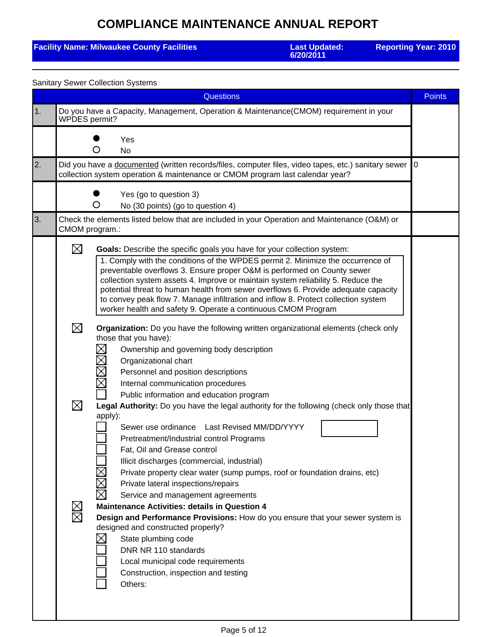#### **Facility Name: Milwaukee County Facilities**

**6/20/2011**

**Reporting Year: 2010**

|            |                | <b>Sanitary Sewer Collection Systems</b>                                                                                                                                                                                                                                                                                                                                                                                                                                                                                                                               |               |
|------------|----------------|------------------------------------------------------------------------------------------------------------------------------------------------------------------------------------------------------------------------------------------------------------------------------------------------------------------------------------------------------------------------------------------------------------------------------------------------------------------------------------------------------------------------------------------------------------------------|---------------|
|            |                | <b>Questions</b>                                                                                                                                                                                                                                                                                                                                                                                                                                                                                                                                                       | <b>Points</b> |
| $\vert$ 1. | WPDES permit?  | Do you have a Capacity, Management, Operation & Maintenance(CMOM) requirement in your                                                                                                                                                                                                                                                                                                                                                                                                                                                                                  |               |
|            |                | Yes<br>O<br><b>No</b>                                                                                                                                                                                                                                                                                                                                                                                                                                                                                                                                                  |               |
| 2.         |                | Did you have a documented (written records/files, computer files, video tapes, etc.) sanitary sewer<br>collection system operation & maintenance or CMOM program last calendar year?                                                                                                                                                                                                                                                                                                                                                                                   | 0             |
|            |                | Yes (go to question 3)<br>O<br>No (30 points) (go to question 4)                                                                                                                                                                                                                                                                                                                                                                                                                                                                                                       |               |
| 3.         | CMOM program.: | Check the elements listed below that are included in your Operation and Maintenance (O&M) or                                                                                                                                                                                                                                                                                                                                                                                                                                                                           |               |
|            | ⊠              | Goals: Describe the specific goals you have for your collection system:<br>1. Comply with the conditions of the WPDES permit 2. Minimize the occurrence of<br>preventable overflows 3. Ensure proper O&M is performed on County sewer<br>collection system assets 4. Improve or maintain system reliability 5. Reduce the<br>potential threat to human health from sewer overflows 6. Provide adequate capacity<br>to convey peak flow 7. Manage infiltration and inflow 8. Protect collection system<br>worker health and safety 9. Operate a continuous CMOM Program |               |
|            | ⊠              | Organization: Do you have the following written organizational elements (check only<br>those that you have):<br>Χ<br>Ownership and governing body description<br>Χ<br>Organizational chart<br>$\mathbb{R}$<br>Personnel and position descriptions<br>Χ<br>Internal communication procedures<br>Public information and education program                                                                                                                                                                                                                                |               |
|            | ⊠              | Legal Authority: Do you have the legal authority for the following (check only those that<br>apply):<br>Sewer use ordinance<br>Last Revised MM/DD/YYYY<br>Pretreatment/Industrial control Programs<br>Fat, Oil and Grease control<br>Illicit discharges (commercial, industrial)<br>Private property clear water (sump pumps, roof or foundation drains, etc)<br>$\mathcal{L}$<br>Private lateral inspections/repairs<br>Σ<br>Service and management agreements                                                                                                        |               |
|            | $\mathbb Z$    | <b>Maintenance Activities: details in Question 4</b><br>Design and Performance Provisions: How do you ensure that your sewer system is<br>designed and constructed properly?<br>State plumbing code<br>DNR NR 110 standards<br>Local municipal code requirements<br>Construction, inspection and testing<br>Others:                                                                                                                                                                                                                                                    |               |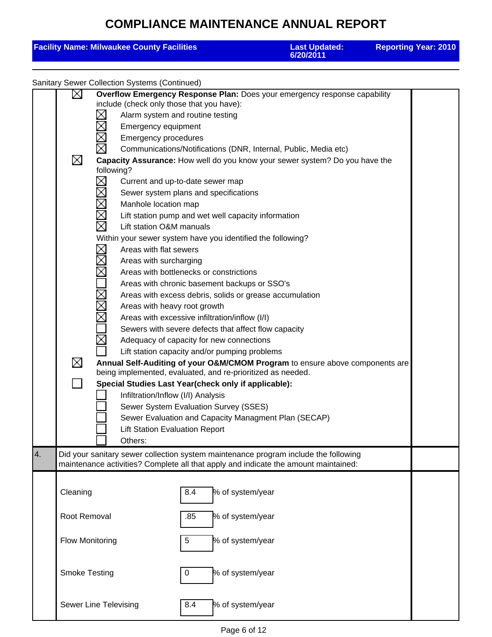|    |                        | <b>Facility Name: Milwaukee County Facilities</b>                                                                                                                                                                                                                                                                                                                                                                                                                                                                                                                                                                                                                                                                                                                                                                                                                                                                                                                                                    |     |                                                                                                                                                                                                                                                                                                                                                                                                                                                                                                                                           | <b>Last Updated:</b><br>6/20/2011 | <b>Reporting Year: 2010</b> |
|----|------------------------|------------------------------------------------------------------------------------------------------------------------------------------------------------------------------------------------------------------------------------------------------------------------------------------------------------------------------------------------------------------------------------------------------------------------------------------------------------------------------------------------------------------------------------------------------------------------------------------------------------------------------------------------------------------------------------------------------------------------------------------------------------------------------------------------------------------------------------------------------------------------------------------------------------------------------------------------------------------------------------------------------|-----|-------------------------------------------------------------------------------------------------------------------------------------------------------------------------------------------------------------------------------------------------------------------------------------------------------------------------------------------------------------------------------------------------------------------------------------------------------------------------------------------------------------------------------------------|-----------------------------------|-----------------------------|
|    |                        | <b>Sanitary Sewer Collection Systems (Continued)</b>                                                                                                                                                                                                                                                                                                                                                                                                                                                                                                                                                                                                                                                                                                                                                                                                                                                                                                                                                 |     |                                                                                                                                                                                                                                                                                                                                                                                                                                                                                                                                           |                                   |                             |
|    | ∐<br>⊠<br>⊠            | Overflow Emergency Response Plan: Does your emergency response capability<br>include (check only those that you have):<br>Alarm system and routine testing<br>Emergency equipment<br><b>Emergency procedures</b><br>Capacity Assurance: How well do you know your sewer system? Do you have the<br>following?<br>Χ<br>Current and up-to-date sewer map<br>Sewer system plans and specifications<br>Manhole location map<br>$\boxtimes$<br>⊠<br>Lift station O&M manuals<br>Within your sewer system have you identified the following?<br>$\boxtimes$<br>Areas with flat sewers<br>Areas with surcharging<br>Areas with bottlenecks or constrictions<br>$\boxtimes$<br>Areas with heavy root growth<br>Annual Self-Auditing of your O&M/CMOM Program to ensure above components are<br>being implemented, evaluated, and re-prioritized as needed.<br>Special Studies Last Year(check only if applicable):<br>Infiltration/Inflow (I/I) Analysis<br><b>Lift Station Evaluation Report</b><br>Others: |     | Communications/Notifications (DNR, Internal, Public, Media etc)<br>Lift station pump and wet well capacity information<br>Areas with chronic basement backups or SSO's<br>Areas with excess debris, solids or grease accumulation<br>Areas with excessive infiltration/inflow (I/I)<br>Sewers with severe defects that affect flow capacity<br>Adequacy of capacity for new connections<br>Lift station capacity and/or pumping problems<br>Sewer System Evaluation Survey (SSES)<br>Sewer Evaluation and Capacity Managment Plan (SECAP) |                                   |                             |
| 4. |                        | Did your sanitary sewer collection system maintenance program include the following<br>maintenance activities? Complete all that apply and indicate the amount maintained:                                                                                                                                                                                                                                                                                                                                                                                                                                                                                                                                                                                                                                                                                                                                                                                                                           |     |                                                                                                                                                                                                                                                                                                                                                                                                                                                                                                                                           |                                   |                             |
|    | Cleaning               |                                                                                                                                                                                                                                                                                                                                                                                                                                                                                                                                                                                                                                                                                                                                                                                                                                                                                                                                                                                                      | 8.4 | % of system/year                                                                                                                                                                                                                                                                                                                                                                                                                                                                                                                          |                                   |                             |
|    | Root Removal           |                                                                                                                                                                                                                                                                                                                                                                                                                                                                                                                                                                                                                                                                                                                                                                                                                                                                                                                                                                                                      | .85 | % of system/year                                                                                                                                                                                                                                                                                                                                                                                                                                                                                                                          |                                   |                             |
|    | <b>Flow Monitoring</b> |                                                                                                                                                                                                                                                                                                                                                                                                                                                                                                                                                                                                                                                                                                                                                                                                                                                                                                                                                                                                      | 5   | % of system/year                                                                                                                                                                                                                                                                                                                                                                                                                                                                                                                          |                                   |                             |
|    | <b>Smoke Testing</b>   |                                                                                                                                                                                                                                                                                                                                                                                                                                                                                                                                                                                                                                                                                                                                                                                                                                                                                                                                                                                                      | 0   | % of system/year                                                                                                                                                                                                                                                                                                                                                                                                                                                                                                                          |                                   |                             |
|    |                        | Sewer Line Televising                                                                                                                                                                                                                                                                                                                                                                                                                                                                                                                                                                                                                                                                                                                                                                                                                                                                                                                                                                                | 8.4 | % of system/year                                                                                                                                                                                                                                                                                                                                                                                                                                                                                                                          |                                   |                             |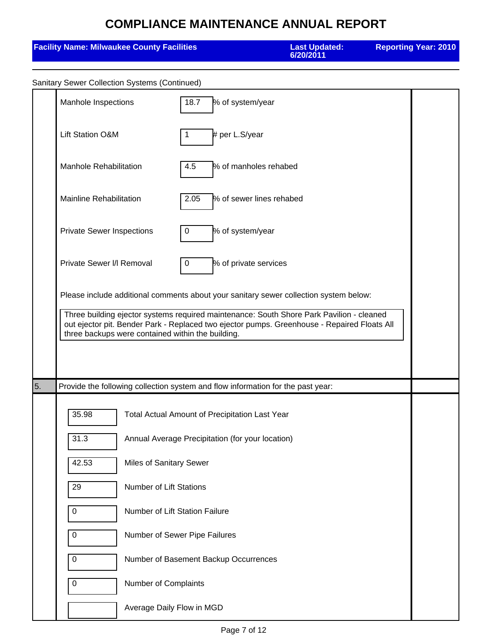|    | <b>Facility Name: Milwaukee County Facilities</b> |                         |                                                                                 |                          | <b>Last Updated:</b><br>6/20/2011                                                                                                                                                                                                                                                |  | <b>Reporting Year: 2010</b> |
|----|---------------------------------------------------|-------------------------|---------------------------------------------------------------------------------|--------------------------|----------------------------------------------------------------------------------------------------------------------------------------------------------------------------------------------------------------------------------------------------------------------------------|--|-----------------------------|
|    | Sanitary Sewer Collection Systems (Continued)     |                         |                                                                                 |                          |                                                                                                                                                                                                                                                                                  |  |                             |
|    | Manhole Inspections                               |                         | 18.7                                                                            | % of system/year         |                                                                                                                                                                                                                                                                                  |  |                             |
|    | <b>Lift Station O&amp;M</b>                       |                         | 1                                                                               | # per L.S/year           |                                                                                                                                                                                                                                                                                  |  |                             |
|    | <b>Manhole Rehabilitation</b>                     |                         | 4.5                                                                             | % of manholes rehabed    |                                                                                                                                                                                                                                                                                  |  |                             |
|    | <b>Mainline Rehabilitation</b>                    |                         | 2.05                                                                            | % of sewer lines rehabed |                                                                                                                                                                                                                                                                                  |  |                             |
|    | <b>Private Sewer Inspections</b>                  |                         | 0                                                                               | % of system/year         |                                                                                                                                                                                                                                                                                  |  |                             |
|    | Private Sewer I/I Removal                         |                         | 0                                                                               | % of private services    |                                                                                                                                                                                                                                                                                  |  |                             |
|    |                                                   |                         | three backups were contained within the building.                               |                          | Please include additional comments about your sanitary sewer collection system below:<br>Three building ejector systems required maintenance: South Shore Park Pavilion - cleaned<br>out ejector pit. Bender Park - Replaced two ejector pumps. Greenhouse - Repaired Floats All |  |                             |
| 5. |                                                   |                         | Provide the following collection system and flow information for the past year: |                          |                                                                                                                                                                                                                                                                                  |  |                             |
|    | 35.98                                             |                         | Total Actual Amount of Precipitation Last Year                                  |                          |                                                                                                                                                                                                                                                                                  |  |                             |
|    | 31.3                                              |                         | Annual Average Precipitation (for your location)                                |                          |                                                                                                                                                                                                                                                                                  |  |                             |
|    | 42.53                                             | Miles of Sanitary Sewer |                                                                                 |                          |                                                                                                                                                                                                                                                                                  |  |                             |
|    | 29<br><b>Number of Lift Stations</b>              |                         |                                                                                 |                          |                                                                                                                                                                                                                                                                                  |  |                             |
|    | Number of Lift Station Failure<br>0               |                         |                                                                                 |                          |                                                                                                                                                                                                                                                                                  |  |                             |
|    | 0                                                 |                         | Number of Sewer Pipe Failures                                                   |                          |                                                                                                                                                                                                                                                                                  |  |                             |
|    | 0                                                 |                         | Number of Basement Backup Occurrences                                           |                          |                                                                                                                                                                                                                                                                                  |  |                             |
|    | 0                                                 | Number of Complaints    |                                                                                 |                          |                                                                                                                                                                                                                                                                                  |  |                             |

Average Daily Flow in MGD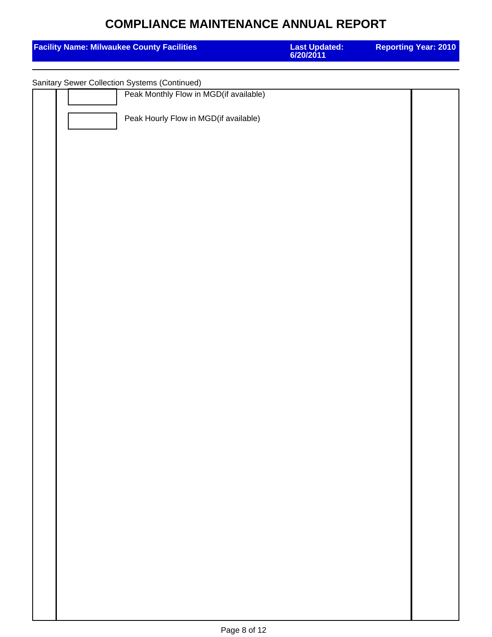| <b>Facility Name: Milwaukee County Facilities</b> | <b>Last Updated:</b><br>6/20/2011 | <b>Reporting Year: 2010</b> |
|---------------------------------------------------|-----------------------------------|-----------------------------|
| Sanitary Sewer Collection Systems (Continued)     |                                   |                             |
| Peak Monthly Flow in MGD(if available)            |                                   |                             |
| Peak Hourly Flow in MGD(if available)             |                                   |                             |
|                                                   |                                   |                             |
|                                                   |                                   |                             |
|                                                   |                                   |                             |
|                                                   |                                   |                             |
|                                                   |                                   |                             |
|                                                   |                                   |                             |
|                                                   |                                   |                             |
|                                                   |                                   |                             |
|                                                   |                                   |                             |
|                                                   |                                   |                             |
|                                                   |                                   |                             |
|                                                   |                                   |                             |
|                                                   |                                   |                             |
|                                                   |                                   |                             |
|                                                   |                                   |                             |
|                                                   |                                   |                             |
|                                                   |                                   |                             |
|                                                   |                                   |                             |
|                                                   |                                   |                             |
|                                                   |                                   |                             |
|                                                   |                                   |                             |
|                                                   |                                   |                             |
|                                                   |                                   |                             |
|                                                   |                                   |                             |
|                                                   |                                   |                             |
|                                                   |                                   |                             |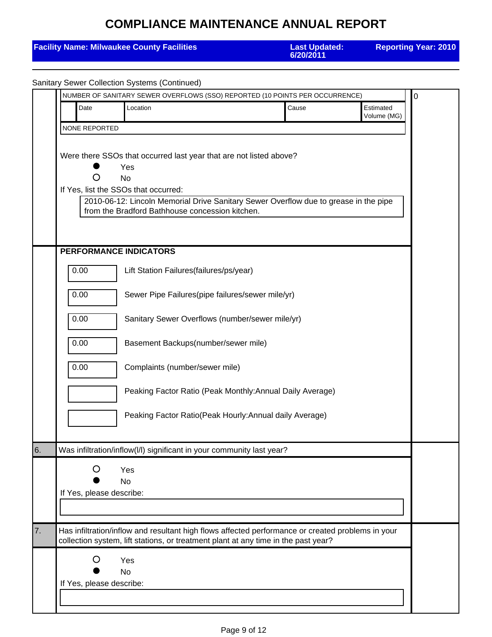|    |                          | <b>Facility Name: Milwaukee County Facilities</b>                     | <b>Last Updated:</b><br>6/20/2011                                                                                                                                                       |                          | <b>Reporting Year: 2010</b> |
|----|--------------------------|-----------------------------------------------------------------------|-----------------------------------------------------------------------------------------------------------------------------------------------------------------------------------------|--------------------------|-----------------------------|
|    |                          | <b>Sanitary Sewer Collection Systems (Continued)</b>                  |                                                                                                                                                                                         |                          |                             |
|    |                          |                                                                       | NUMBER OF SANITARY SEWER OVERFLOWS (SSO) REPORTED (10 POINTS PER OCCURRENCE)                                                                                                            |                          | 0                           |
|    | Date                     | Location                                                              | Cause                                                                                                                                                                                   | Estimated<br>Volume (MG) |                             |
|    | NONE REPORTED            |                                                                       |                                                                                                                                                                                         |                          |                             |
|    |                          | Yes                                                                   | Were there SSOs that occurred last year that are not listed above?                                                                                                                      |                          |                             |
|    | O                        | <b>No</b><br>If Yes, list the SSOs that occurred:                     |                                                                                                                                                                                         |                          |                             |
|    |                          | from the Bradford Bathhouse concession kitchen.                       | 2010-06-12: Lincoln Memorial Drive Sanitary Sewer Overflow due to grease in the pipe                                                                                                    |                          |                             |
|    |                          |                                                                       |                                                                                                                                                                                         |                          |                             |
|    |                          | PERFORMANCE INDICATORS                                                |                                                                                                                                                                                         |                          |                             |
|    | 0.00                     | Lift Station Failures(failures/ps/year)                               |                                                                                                                                                                                         |                          |                             |
|    | 0.00                     |                                                                       | Sewer Pipe Failures(pipe failures/sewer mile/yr)                                                                                                                                        |                          |                             |
|    | 0.00                     |                                                                       | Sanitary Sewer Overflows (number/sewer mile/yr)                                                                                                                                         |                          |                             |
|    | 0.00                     | Basement Backups(number/sewer mile)                                   |                                                                                                                                                                                         |                          |                             |
|    | 0.00                     | Complaints (number/sewer mile)                                        |                                                                                                                                                                                         |                          |                             |
|    |                          |                                                                       | Peaking Factor Ratio (Peak Monthly: Annual Daily Average)                                                                                                                               |                          |                             |
|    |                          |                                                                       | Peaking Factor Ratio(Peak Hourly: Annual daily Average)                                                                                                                                 |                          |                             |
| 6. |                          | Was infiltration/inflow(I/I) significant in your community last year? |                                                                                                                                                                                         |                          |                             |
|    | Ő                        | Yes<br><b>No</b>                                                      |                                                                                                                                                                                         |                          |                             |
|    | If Yes, please describe: |                                                                       |                                                                                                                                                                                         |                          |                             |
|    |                          |                                                                       |                                                                                                                                                                                         |                          |                             |
| 7. |                          |                                                                       | Has infiltration/inflow and resultant high flows affected performance or created problems in your<br>collection system, lift stations, or treatment plant at any time in the past year? |                          |                             |
|    | O                        | Yes<br><b>No</b>                                                      |                                                                                                                                                                                         |                          |                             |
|    | If Yes, please describe: |                                                                       |                                                                                                                                                                                         |                          |                             |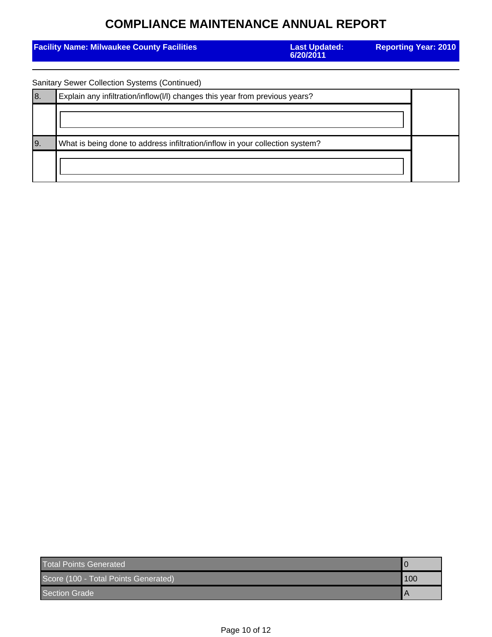|     | <b>Facility Name: Milwaukee County Facilities</b>                            | <b>Last Updated:</b><br>6/20/2011 | <b>Reporting Year: 2010</b> |
|-----|------------------------------------------------------------------------------|-----------------------------------|-----------------------------|
|     | <b>Sanitary Sewer Collection Systems (Continued)</b>                         |                                   |                             |
| 8.  | Explain any infiltration/inflow(I/I) changes this year from previous years?  |                                   |                             |
|     |                                                                              |                                   |                             |
| I9. | What is being done to address infiltration/inflow in your collection system? |                                   |                             |
|     |                                                                              |                                   |                             |

| <b>Total Points Generated</b>        |     |
|--------------------------------------|-----|
| Score (100 - Total Points Generated) | 100 |
| Section Grade                        |     |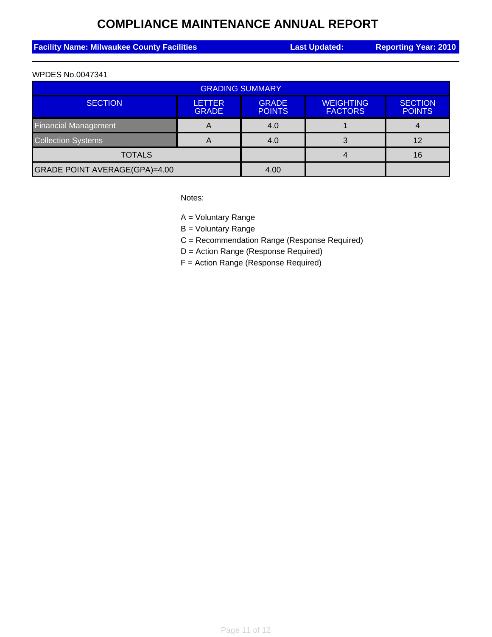| <b>Facility Name: Milwaukee County Facilities</b> | <b>Last Updated:</b> | <b>Reporting Year: 2010</b> |
|---------------------------------------------------|----------------------|-----------------------------|
|                                                   |                      |                             |

#### WPDES No.0047341

| <b>GRADING SUMMARY</b>        |                               |                               |                                    |                                 |  |  |  |
|-------------------------------|-------------------------------|-------------------------------|------------------------------------|---------------------------------|--|--|--|
| <b>SECTION</b>                | <b>LETTER</b><br><b>GRADE</b> | <b>GRADE</b><br><b>POINTS</b> | <b>WEIGHTING</b><br><b>FACTORS</b> | <b>SECTION</b><br><b>POINTS</b> |  |  |  |
| <b>Financial Management</b>   | A                             | 4.0                           |                                    |                                 |  |  |  |
| <b>Collection Systems</b>     | A                             | 4.0                           |                                    | 12                              |  |  |  |
| <b>TOTALS</b>                 |                               |                               | 16                                 |                                 |  |  |  |
| GRADE POINT AVERAGE(GPA)=4.00 |                               | 4.00                          |                                    |                                 |  |  |  |

Notes:

A = Voluntary Range

B = Voluntary Range

C = Recommendation Range (Response Required)

D = Action Range (Response Required)

F = Action Range (Response Required)